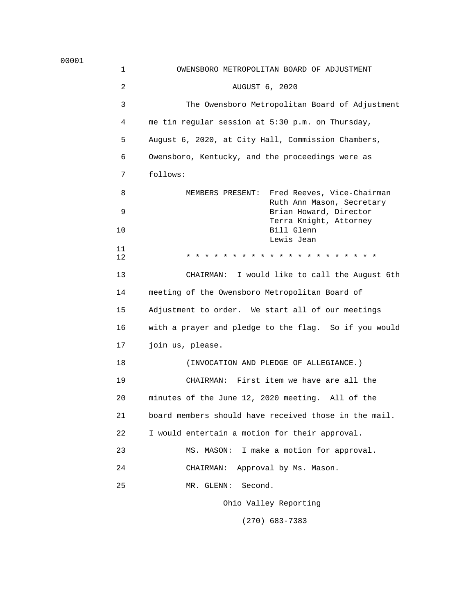00001

| 1              | OWENSBORO METROPOLITAN BOARD OF ADJUSTMENT            |
|----------------|-------------------------------------------------------|
| $\overline{2}$ | AUGUST 6, 2020                                        |
| 3              | The Owensboro Metropolitan Board of Adjustment        |
| 4              | me tin regular session at 5:30 p.m. on Thursday,      |
| 5              | August 6, 2020, at City Hall, Commission Chambers,    |
| 6              | Owensboro, Kentucky, and the proceedings were as      |
| 7              | follows:                                              |
| 8              | MEMBERS PRESENT: Fred Reeves, Vice-Chairman           |
| 9              | Ruth Ann Mason, Secretary<br>Brian Howard, Director   |
| 10             | Terra Knight, Attorney<br>Bill Glenn<br>Lewis Jean    |
| 11<br>12       |                                                       |
| 13             | CHAIRMAN: I would like to call the August 6th         |
| 14             | meeting of the Owensboro Metropolitan Board of        |
| 15             | Adjustment to order. We start all of our meetings     |
| 16             | with a prayer and pledge to the flag. So if you would |
| 17             | join us, please.                                      |
| 18             | (INVOCATION AND PLEDGE OF ALLEGIANCE.)                |
| 19             | CHAIRMAN: First item we have are all the              |
| 20             | minutes of the June 12, 2020 meeting. All of the      |
| 21             | board members should have received those in the mail. |
| 22             | I would entertain a motion for their approval.        |
| 23             | I make a motion for approval.<br>MS. MASON:           |
| 24             | Approval by Ms. Mason.<br>CHAIRMAN:                   |
| 25             | Second.<br>MR. GLENN:                                 |
|                | Ohio Valley Reporting                                 |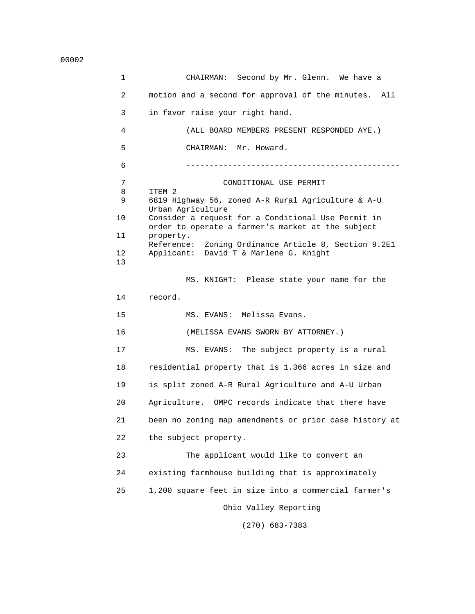00002

 1 CHAIRMAN: Second by Mr. Glenn. We have a 2 motion and a second for approval of the minutes. All 3 in favor raise your right hand. 4 (ALL BOARD MEMBERS PRESENT RESPONDED AYE.) 5 CHAIRMAN: Mr. Howard. 6 ---------------------------------------------- 7 CONDITIONAL USE PERMIT<br>8 ITEM 2 8 ITEM 2<br>9 6819 Hi 9 6819 Highway 56, zoned A-R Rural Agriculture & A-U Urban Agriculture<br>10 Consider a request Consider a request for a Conditional Use Permit in order to operate a farmer's market at the subject<br>11 property. property. Reference: Zoning Ordinance Article 8, Section 9.2E1 12 Applicant: David T & Marlene G. Knight 13 MS. KNIGHT: Please state your name for the 14 record. 15 MS. EVANS: Melissa Evans. 16 (MELISSA EVANS SWORN BY ATTORNEY.) 17 MS. EVANS: The subject property is a rural 18 residential property that is 1.366 acres in size and 19 is split zoned A-R Rural Agriculture and A-U Urban 20 Agriculture. OMPC records indicate that there have 21 been no zoning map amendments or prior case history at 22 the subject property. 23 The applicant would like to convert an 24 existing farmhouse building that is approximately 25 1,200 square feet in size into a commercial farmer's Ohio Valley Reporting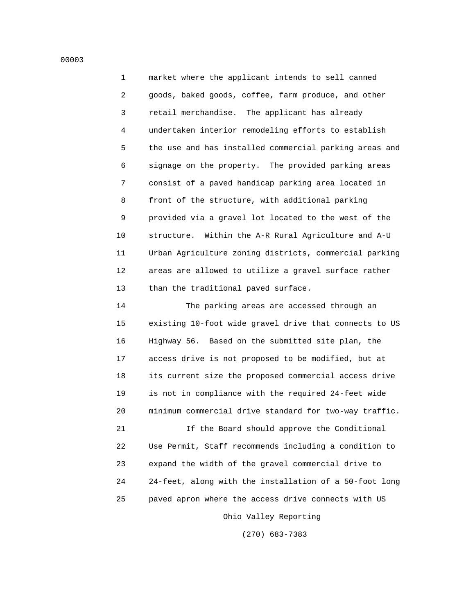1 market where the applicant intends to sell canned 2 goods, baked goods, coffee, farm produce, and other 3 retail merchandise. The applicant has already 4 undertaken interior remodeling efforts to establish 5 the use and has installed commercial parking areas and 6 signage on the property. The provided parking areas 7 consist of a paved handicap parking area located in 8 front of the structure, with additional parking 9 provided via a gravel lot located to the west of the 10 structure. Within the A-R Rural Agriculture and A-U 11 Urban Agriculture zoning districts, commercial parking 12 areas are allowed to utilize a gravel surface rather 13 than the traditional paved surface.

 14 The parking areas are accessed through an 15 existing 10-foot wide gravel drive that connects to US 16 Highway 56. Based on the submitted site plan, the 17 access drive is not proposed to be modified, but at 18 its current size the proposed commercial access drive 19 is not in compliance with the required 24-feet wide 20 minimum commercial drive standard for two-way traffic.

 21 If the Board should approve the Conditional 22 Use Permit, Staff recommends including a condition to 23 expand the width of the gravel commercial drive to 24 24-feet, along with the installation of a 50-foot long 25 paved apron where the access drive connects with US

Ohio Valley Reporting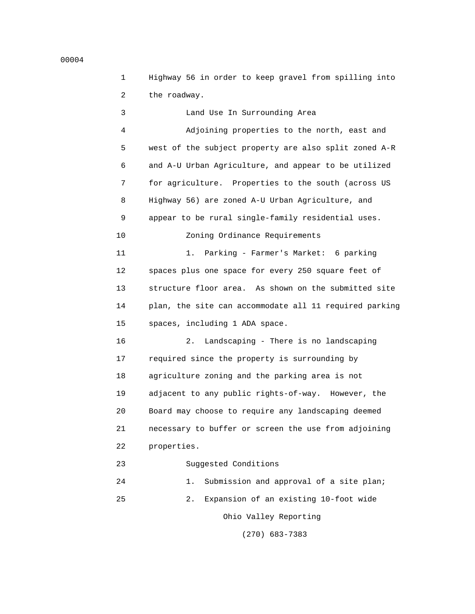1 Highway 56 in order to keep gravel from spilling into 2 the roadway.

 3 Land Use In Surrounding Area 4 Adjoining properties to the north, east and 5 west of the subject property are also split zoned A-R 6 and A-U Urban Agriculture, and appear to be utilized 7 for agriculture. Properties to the south (across US 8 Highway 56) are zoned A-U Urban Agriculture, and 9 appear to be rural single-family residential uses. 10 Zoning Ordinance Requirements 11 1. Parking - Farmer's Market: 6 parking 12 spaces plus one space for every 250 square feet of 13 structure floor area. As shown on the submitted site 14 plan, the site can accommodate all 11 required parking 15 spaces, including 1 ADA space. 16 2. Landscaping - There is no landscaping 17 required since the property is surrounding by 18 agriculture zoning and the parking area is not 19 adjacent to any public rights-of-way. However, the 20 Board may choose to require any landscaping deemed 21 necessary to buffer or screen the use from adjoining 22 properties. 23 Suggested Conditions 24 1. Submission and approval of a site plan; 25 2. Expansion of an existing 10-foot wide Ohio Valley Reporting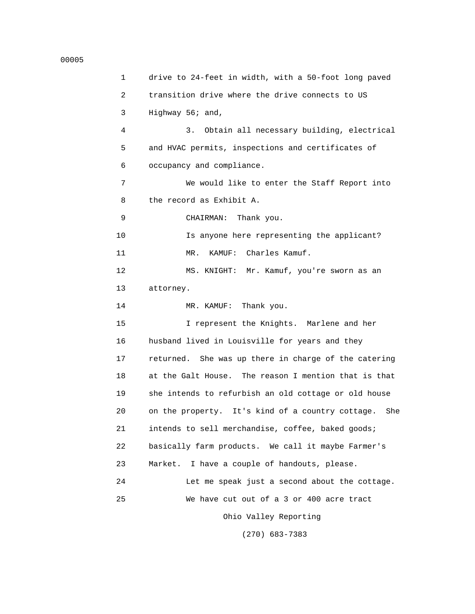#### 00005

 1 drive to 24-feet in width, with a 50-foot long paved 2 transition drive where the drive connects to US 3 Highway 56; and, 4 3. Obtain all necessary building, electrical 5 and HVAC permits, inspections and certificates of 6 occupancy and compliance. 7 We would like to enter the Staff Report into 8 the record as Exhibit A. 9 CHAIRMAN: Thank you. 10 Is anyone here representing the applicant? 11 MR. KAMUF: Charles Kamuf. 12 MS. KNIGHT: Mr. Kamuf, you're sworn as an 13 attorney. 14 MR. KAMUF: Thank you. 15 I represent the Knights. Marlene and her 16 husband lived in Louisville for years and they 17 returned. She was up there in charge of the catering 18 at the Galt House. The reason I mention that is that 19 she intends to refurbish an old cottage or old house 20 on the property. It's kind of a country cottage. She 21 intends to sell merchandise, coffee, baked goods; 22 basically farm products. We call it maybe Farmer's 23 Market. I have a couple of handouts, please. 24 Let me speak just a second about the cottage. 25 We have cut out of a 3 or 400 acre tract Ohio Valley Reporting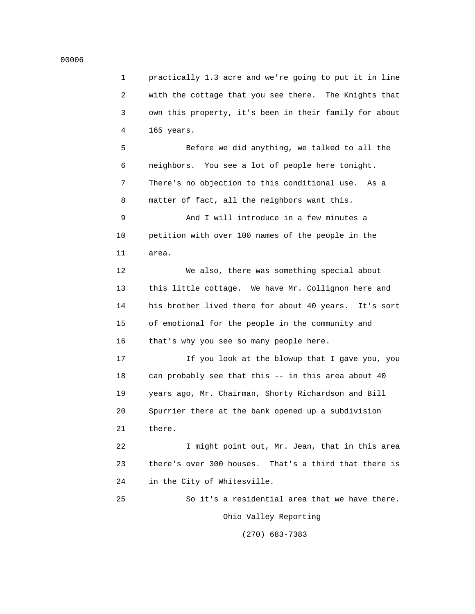#### 00006

 1 practically 1.3 acre and we're going to put it in line 2 with the cottage that you see there. The Knights that 3 own this property, it's been in their family for about 4 165 years.

 5 Before we did anything, we talked to all the 6 neighbors. You see a lot of people here tonight. 7 There's no objection to this conditional use. As a 8 matter of fact, all the neighbors want this.

 9 And I will introduce in a few minutes a 10 petition with over 100 names of the people in the 11 area.

 12 We also, there was something special about 13 this little cottage. We have Mr. Collignon here and 14 his brother lived there for about 40 years. It's sort 15 of emotional for the people in the community and 16 that's why you see so many people here.

 17 If you look at the blowup that I gave you, you 18 can probably see that this -- in this area about 40 19 years ago, Mr. Chairman, Shorty Richardson and Bill 20 Spurrier there at the bank opened up a subdivision 21 there.

 22 I might point out, Mr. Jean, that in this area 23 there's over 300 houses. That's a third that there is 24 in the City of Whitesville.

 25 So it's a residential area that we have there. Ohio Valley Reporting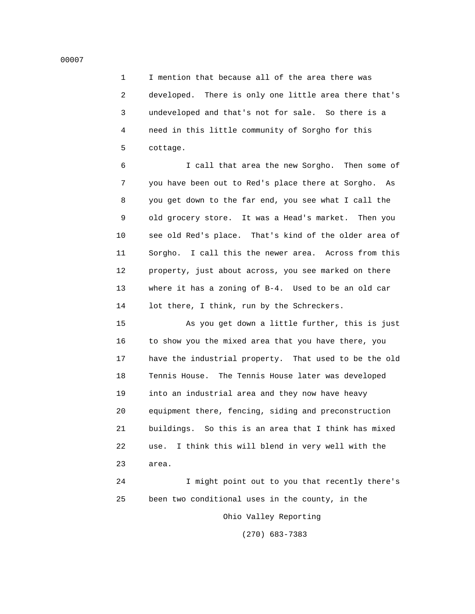1 I mention that because all of the area there was 2 developed. There is only one little area there that's 3 undeveloped and that's not for sale. So there is a 4 need in this little community of Sorgho for this 5 cottage.

 6 I call that area the new Sorgho. Then some of 7 you have been out to Red's place there at Sorgho. As 8 you get down to the far end, you see what I call the 9 old grocery store. It was a Head's market. Then you 10 see old Red's place. That's kind of the older area of 11 Sorgho. I call this the newer area. Across from this 12 property, just about across, you see marked on there 13 where it has a zoning of B-4. Used to be an old car 14 lot there, I think, run by the Schreckers.

 15 As you get down a little further, this is just 16 to show you the mixed area that you have there, you 17 have the industrial property. That used to be the old 18 Tennis House. The Tennis House later was developed 19 into an industrial area and they now have heavy 20 equipment there, fencing, siding and preconstruction 21 buildings. So this is an area that I think has mixed 22 use. I think this will blend in very well with the 23 area.

 24 I might point out to you that recently there's 25 been two conditional uses in the county, in the Ohio Valley Reporting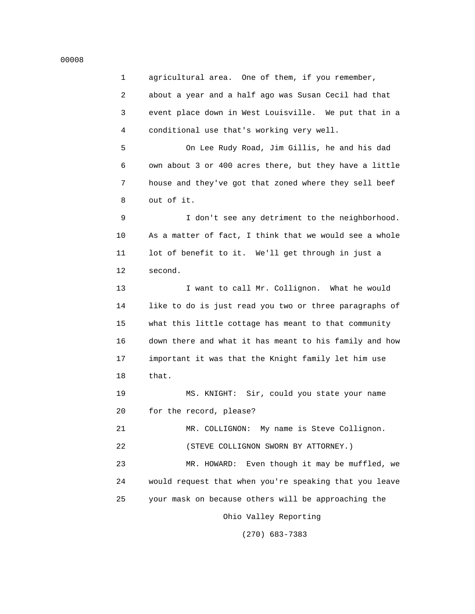# 1 agricultural area. One of them, if you remember, 2 about a year and a half ago was Susan Cecil had that 3 event place down in West Louisville. We put that in a 4 conditional use that's working very well.

 5 On Lee Rudy Road, Jim Gillis, he and his dad 6 own about 3 or 400 acres there, but they have a little 7 house and they've got that zoned where they sell beef 8 out of it.

 9 I don't see any detriment to the neighborhood. 10 As a matter of fact, I think that we would see a whole 11 lot of benefit to it. We'll get through in just a 12 second.

 13 I want to call Mr. Collignon. What he would 14 like to do is just read you two or three paragraphs of 15 what this little cottage has meant to that community 16 down there and what it has meant to his family and how 17 important it was that the Knight family let him use 18 that.

 19 MS. KNIGHT: Sir, could you state your name 20 for the record, please?

 21 MR. COLLIGNON: My name is Steve Collignon. 22 (STEVE COLLIGNON SWORN BY ATTORNEY.)

 23 MR. HOWARD: Even though it may be muffled, we 24 would request that when you're speaking that you leave 25 your mask on because others will be approaching the

Ohio Valley Reporting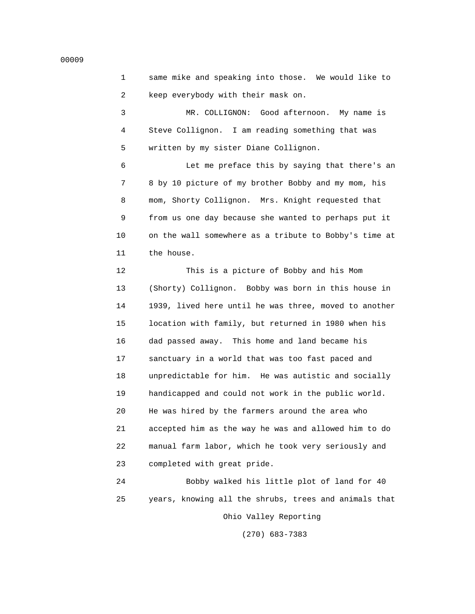```
 1 same mike and speaking into those. We would like to
 2 keep everybody with their mask on.
```
 3 MR. COLLIGNON: Good afternoon. My name is 4 Steve Collignon. I am reading something that was 5 written by my sister Diane Collignon.

 6 Let me preface this by saying that there's an 7 8 by 10 picture of my brother Bobby and my mom, his 8 mom, Shorty Collignon. Mrs. Knight requested that 9 from us one day because she wanted to perhaps put it 10 on the wall somewhere as a tribute to Bobby's time at 11 the house.

 12 This is a picture of Bobby and his Mom 13 (Shorty) Collignon. Bobby was born in this house in 14 1939, lived here until he was three, moved to another 15 location with family, but returned in 1980 when his 16 dad passed away. This home and land became his 17 sanctuary in a world that was too fast paced and 18 unpredictable for him. He was autistic and socially 19 handicapped and could not work in the public world. 20 He was hired by the farmers around the area who 21 accepted him as the way he was and allowed him to do 22 manual farm labor, which he took very seriously and 23 completed with great pride.

 24 Bobby walked his little plot of land for 40 25 years, knowing all the shrubs, trees and animals that Ohio Valley Reporting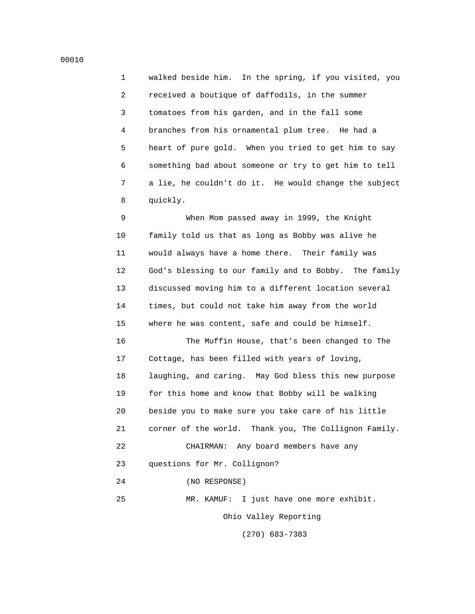1 walked beside him. In the spring, if you visited, you 2 received a boutique of daffodils, in the summer 3 tomatoes from his garden, and in the fall some 4 branches from his ornamental plum tree. He had a 5 heart of pure gold. When you tried to get him to say 6 something bad about someone or try to get him to tell 7 a lie, he couldn't do it. He would change the subject 8 quickly.

 9 When Mom passed away in 1999, the Knight 10 family told us that as long as Bobby was alive he 11 would always have a home there. Their family was 12 God's blessing to our family and to Bobby. The family 13 discussed moving him to a different location several 14 times, but could not take him away from the world 15 where he was content, safe and could be himself.

 16 The Muffin House, that's been changed to The 17 Cottage, has been filled with years of loving, 18 laughing, and caring. May God bless this new purpose 19 for this home and know that Bobby will be walking 20 beside you to make sure you take care of his little 21 corner of the world. Thank you, The Collignon Family. 22 CHAIRMAN: Any board members have any 23 questions for Mr. Collignon? 24 (NO RESPONSE)

25 MR. KAMUF: I just have one more exhibit.

Ohio Valley Reporting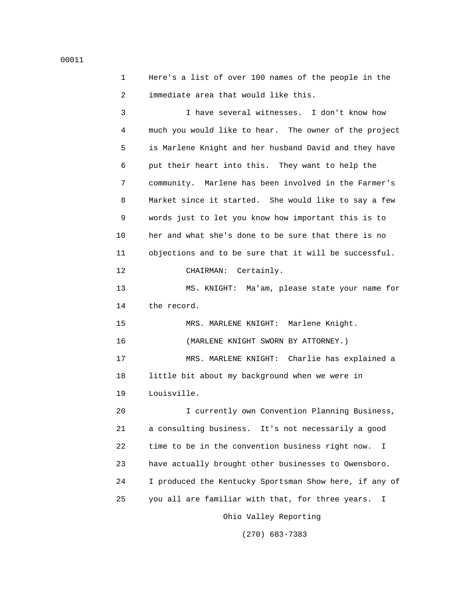```
 1 Here's a list of over 100 names of the people in the
 2 immediate area that would like this.
```
 3 I have several witnesses. I don't know how 4 much you would like to hear. The owner of the project 5 is Marlene Knight and her husband David and they have 6 put their heart into this. They want to help the 7 community. Marlene has been involved in the Farmer's 8 Market since it started. She would like to say a few 9 words just to let you know how important this is to 10 her and what she's done to be sure that there is no 11 objections and to be sure that it will be successful. 12 CHAIRMAN: Certainly. 13 MS. KNIGHT: Ma'am, please state your name for 14 the record. 15 MRS. MARLENE KNIGHT: Marlene Knight. 16 (MARLENE KNIGHT SWORN BY ATTORNEY.) 17 MRS. MARLENE KNIGHT: Charlie has explained a 18 little bit about my background when we were in 19 Louisville. 20 I currently own Convention Planning Business, 21 a consulting business. It's not necessarily a good 22 time to be in the convention business right now. I

23 have actually brought other businesses to Owensboro.

25 you all are familiar with that, for three years. I

24 I produced the Kentucky Sportsman Show here, if any of

Ohio Valley Reporting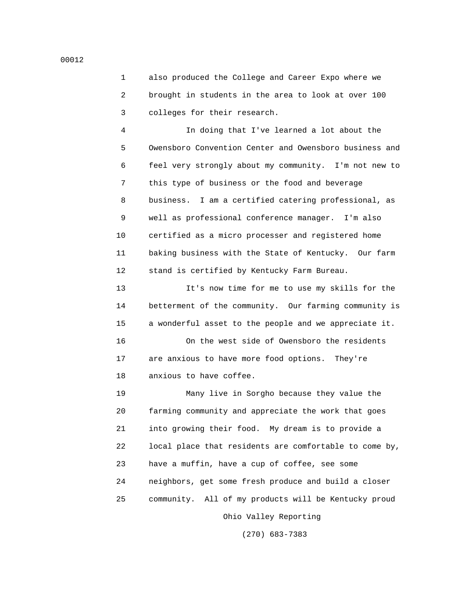1 also produced the College and Career Expo where we 2 brought in students in the area to look at over 100 3 colleges for their research.

 4 In doing that I've learned a lot about the 5 Owensboro Convention Center and Owensboro business and 6 feel very strongly about my community. I'm not new to 7 this type of business or the food and beverage 8 business. I am a certified catering professional, as 9 well as professional conference manager. I'm also 10 certified as a micro processer and registered home 11 baking business with the State of Kentucky. Our farm 12 stand is certified by Kentucky Farm Bureau.

 13 It's now time for me to use my skills for the 14 betterment of the community. Our farming community is 15 a wonderful asset to the people and we appreciate it.

 16 On the west side of Owensboro the residents 17 are anxious to have more food options. They're 18 anxious to have coffee.

 19 Many live in Sorgho because they value the 20 farming community and appreciate the work that goes 21 into growing their food. My dream is to provide a 22 local place that residents are comfortable to come by, 23 have a muffin, have a cup of coffee, see some 24 neighbors, get some fresh produce and build a closer 25 community. All of my products will be Kentucky proud

Ohio Valley Reporting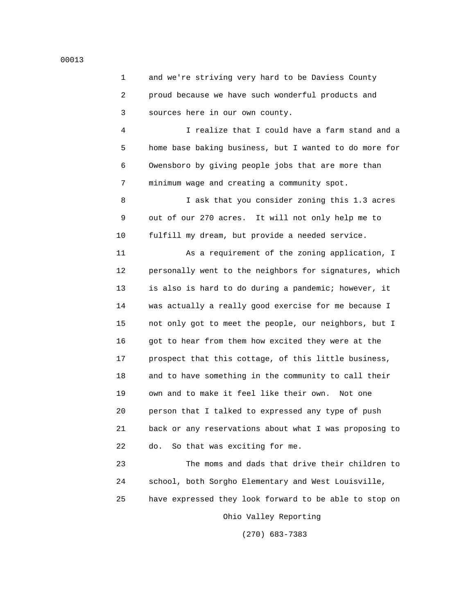1 and we're striving very hard to be Daviess County 2 proud because we have such wonderful products and 3 sources here in our own county.

 4 I realize that I could have a farm stand and a 5 home base baking business, but I wanted to do more for 6 Owensboro by giving people jobs that are more than 7 minimum wage and creating a community spot.

 8 I ask that you consider zoning this 1.3 acres 9 out of our 270 acres. It will not only help me to 10 fulfill my dream, but provide a needed service.

 11 As a requirement of the zoning application, I 12 personally went to the neighbors for signatures, which 13 is also is hard to do during a pandemic; however, it 14 was actually a really good exercise for me because I 15 not only got to meet the people, our neighbors, but I 16 got to hear from them how excited they were at the 17 prospect that this cottage, of this little business, 18 and to have something in the community to call their 19 own and to make it feel like their own. Not one 20 person that I talked to expressed any type of push 21 back or any reservations about what I was proposing to 22 do. So that was exciting for me.

 23 The moms and dads that drive their children to 24 school, both Sorgho Elementary and West Louisville, 25 have expressed they look forward to be able to stop on Ohio Valley Reporting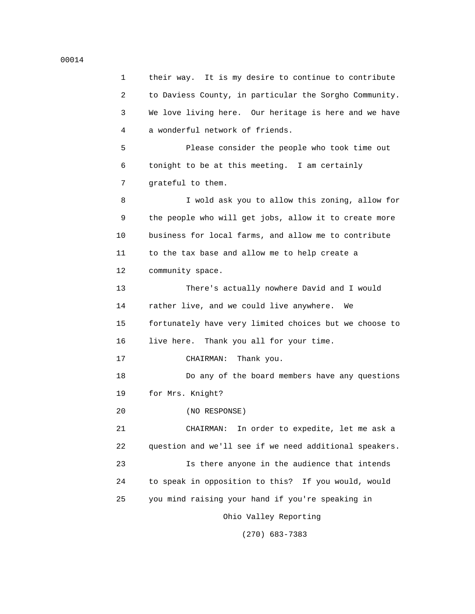1 their way. It is my desire to continue to contribute 2 to Daviess County, in particular the Sorgho Community. 3 We love living here. Our heritage is here and we have 4 a wonderful network of friends. 5 Please consider the people who took time out 6 tonight to be at this meeting. I am certainly 7 grateful to them. 8 I wold ask you to allow this zoning, allow for 9 the people who will get jobs, allow it to create more 10 business for local farms, and allow me to contribute 11 to the tax base and allow me to help create a 12 community space. 13 There's actually nowhere David and I would 14 rather live, and we could live anywhere. We 15 fortunately have very limited choices but we choose to 16 live here. Thank you all for your time. 17 CHAIRMAN: Thank you. 18 Do any of the board members have any questions 19 for Mrs. Knight? 20 (NO RESPONSE) 21 CHAIRMAN: In order to expedite, let me ask a 22 question and we'll see if we need additional speakers. 23 Is there anyone in the audience that intends 24 to speak in opposition to this? If you would, would 25 you mind raising your hand if you're speaking in Ohio Valley Reporting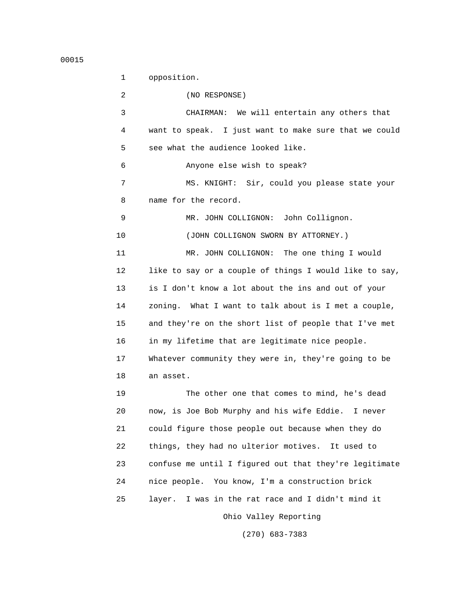1 opposition. 2 (NO RESPONSE) 3 CHAIRMAN: We will entertain any others that 4 want to speak. I just want to make sure that we could 5 see what the audience looked like. 6 Anyone else wish to speak? 7 MS. KNIGHT: Sir, could you please state your 8 name for the record. 9 MR. JOHN COLLIGNON: John Collignon. 10 (JOHN COLLIGNON SWORN BY ATTORNEY.) 11 MR. JOHN COLLIGNON: The one thing I would 12 like to say or a couple of things I would like to say, 13 is I don't know a lot about the ins and out of your 14 zoning. What I want to talk about is I met a couple, 15 and they're on the short list of people that I've met 16 in my lifetime that are legitimate nice people. 17 Whatever community they were in, they're going to be 18 an asset. 19 The other one that comes to mind, he's dead 20 now, is Joe Bob Murphy and his wife Eddie. I never 21 could figure those people out because when they do 22 things, they had no ulterior motives. It used to 23 confuse me until I figured out that they're legitimate 24 nice people. You know, I'm a construction brick 25 layer. I was in the rat race and I didn't mind it Ohio Valley Reporting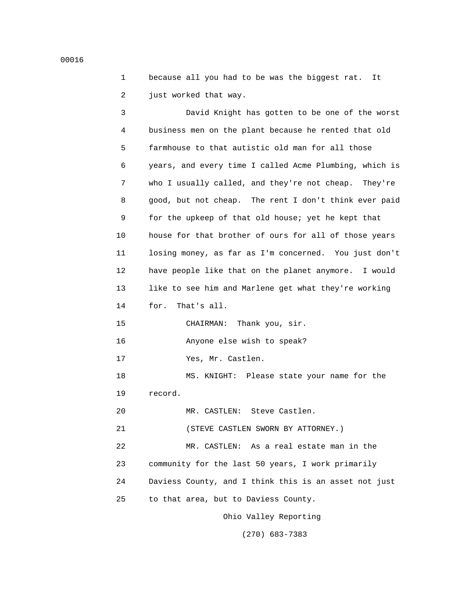1 because all you had to be was the biggest rat. It 2 just worked that way.

 3 David Knight has gotten to be one of the worst 4 business men on the plant because he rented that old 5 farmhouse to that autistic old man for all those 6 years, and every time I called Acme Plumbing, which is 7 who I usually called, and they're not cheap. They're 8 good, but not cheap. The rent I don't think ever paid 9 for the upkeep of that old house; yet he kept that 10 house for that brother of ours for all of those years 11 losing money, as far as I'm concerned. You just don't 12 have people like that on the planet anymore. I would 13 like to see him and Marlene get what they're working 14 for. That's all. 15 CHAIRMAN: Thank you, sir. 16 Anyone else wish to speak? 17 Yes, Mr. Castlen. 18 MS. KNIGHT: Please state your name for the 19 record. 20 MR. CASTLEN: Steve Castlen. 21 (STEVE CASTLEN SWORN BY ATTORNEY.) 22 MR. CASTLEN: As a real estate man in the 23 community for the last 50 years, I work primarily 24 Daviess County, and I think this is an asset not just 25 to that area, but to Daviess County. Ohio Valley Reporting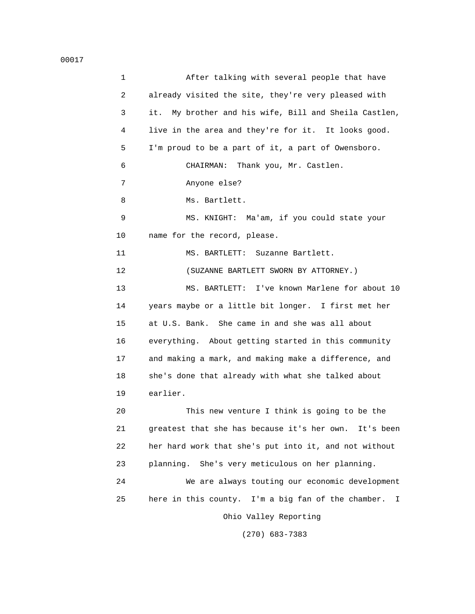| 1  | After talking with several people that have              |
|----|----------------------------------------------------------|
| 2  | already visited the site, they're very pleased with      |
| 3  | it.<br>My brother and his wife, Bill and Sheila Castlen, |
| 4  | live in the area and they're for it. It looks good.      |
| 5  | I'm proud to be a part of it, a part of Owensboro.       |
| 6  | Thank you, Mr. Castlen.<br>CHAIRMAN:                     |
| 7  | Anyone else?                                             |
| 8  | Ms. Bartlett.                                            |
| 9  | MS. KNIGHT: Ma'am, if you could state your               |
| 10 | name for the record, please.                             |
| 11 | MS. BARTLETT: Suzanne Bartlett.                          |
| 12 | (SUZANNE BARTLETT SWORN BY ATTORNEY.)                    |
| 13 | MS. BARTLETT: I've known Marlene for about 10            |
| 14 | years maybe or a little bit longer. I first met her      |
| 15 | at U.S. Bank. She came in and she was all about          |
| 16 | everything. About getting started in this community      |
| 17 | and making a mark, and making make a difference, and     |
| 18 | she's done that already with what she talked about       |
| 19 | earlier.                                                 |
| 20 | This new venture I think is going to be the              |
| 21 | greatest that she has because it's her own. It's been    |
| 22 | her hard work that she's put into it, and not without    |
| 23 | planning. She's very meticulous on her planning.         |
| 24 | We are always touting our economic development           |
| 25 | here in this county. I'm a big fan of the chamber. I     |
|    | Ohio Valley Reporting                                    |
|    |                                                          |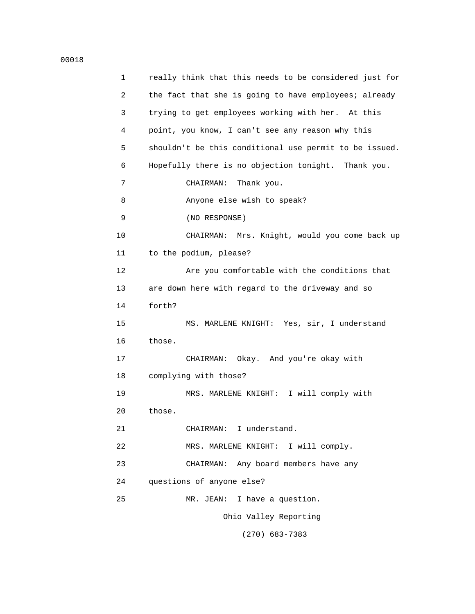| 1  | really think that this needs to be considered just for |
|----|--------------------------------------------------------|
| 2  | the fact that she is going to have employees; already  |
| 3  | trying to get employees working with her. At this      |
| 4  | point, you know, I can't see any reason why this       |
| 5  | shouldn't be this conditional use permit to be issued. |
| 6  | Hopefully there is no objection tonight. Thank you.    |
| 7  | CHAIRMAN:<br>Thank you.                                |
| 8  | Anyone else wish to speak?                             |
| 9  | (NO RESPONSE)                                          |
| 10 | CHAIRMAN: Mrs. Knight, would you come back up          |
| 11 | to the podium, please?                                 |
| 12 | Are you comfortable with the conditions that           |
| 13 | are down here with regard to the driveway and so       |
| 14 | forth?                                                 |
| 15 | MS. MARLENE KNIGHT: Yes, sir, I understand             |
| 16 | those.                                                 |
| 17 | Okay. And you're okay with<br>CHAIRMAN:                |
| 18 | complying with those?                                  |
| 19 | MRS. MARLENE KNIGHT: I will comply with                |
| 20 | those.                                                 |
| 21 | I understand.<br>CHAIRMAN:                             |
| 22 | MRS. MARLENE KNIGHT: I will comply.                    |
| 23 | CHAIRMAN: Any board members have any                   |
| 24 | questions of anyone else?                              |
| 25 | MR. JEAN: I have a question.                           |
|    | Ohio Valley Reporting                                  |
|    |                                                        |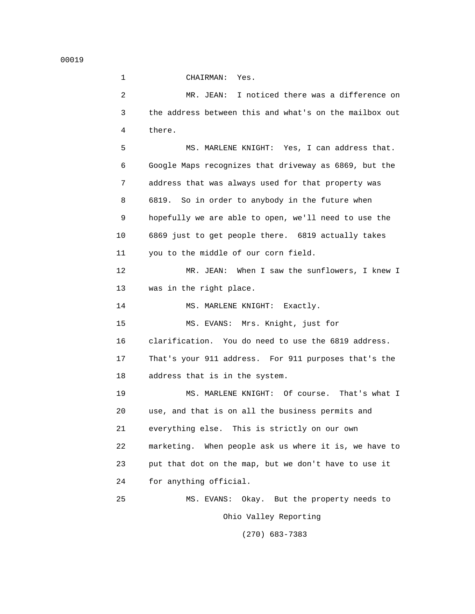1 CHAIRMAN: Yes. 2 MR. JEAN: I noticed there was a difference on 3 the address between this and what's on the mailbox out 4 there. 5 MS. MARLENE KNIGHT: Yes, I can address that. 6 Google Maps recognizes that driveway as 6869, but the 7 address that was always used for that property was 8 6819. So in order to anybody in the future when 9 hopefully we are able to open, we'll need to use the 10 6869 just to get people there. 6819 actually takes 11 you to the middle of our corn field. 12 MR. JEAN: When I saw the sunflowers, I knew I 13 was in the right place. 14 MS. MARLENE KNIGHT: Exactly. 15 MS. EVANS: Mrs. Knight, just for 16 clarification. You do need to use the 6819 address. 17 That's your 911 address. For 911 purposes that's the 18 address that is in the system. 19 MS. MARLENE KNIGHT: Of course. That's what I 20 use, and that is on all the business permits and 21 everything else. This is strictly on our own 22 marketing. When people ask us where it is, we have to 23 put that dot on the map, but we don't have to use it 24 for anything official. 25 MS. EVANS: Okay. But the property needs to Ohio Valley Reporting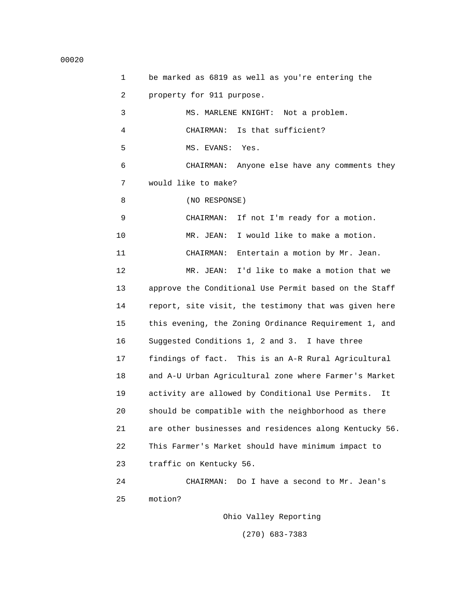1 be marked as 6819 as well as you're entering the 2 property for 911 purpose. 3 MS. MARLENE KNIGHT: Not a problem. 4 CHAIRMAN: Is that sufficient? 5 MS. EVANS: Yes. 6 CHAIRMAN: Anyone else have any comments they 7 would like to make? 8 (NO RESPONSE) 9 CHAIRMAN: If not I'm ready for a motion. 10 MR. JEAN: I would like to make a motion. 11 CHAIRMAN: Entertain a motion by Mr. Jean. 12 MR. JEAN: I'd like to make a motion that we 13 approve the Conditional Use Permit based on the Staff 14 report, site visit, the testimony that was given here 15 this evening, the Zoning Ordinance Requirement 1, and 16 Suggested Conditions 1, 2 and 3. I have three 17 findings of fact. This is an A-R Rural Agricultural 18 and A-U Urban Agricultural zone where Farmer's Market 19 activity are allowed by Conditional Use Permits. It 20 should be compatible with the neighborhood as there 21 are other businesses and residences along Kentucky 56. 22 This Farmer's Market should have minimum impact to 23 traffic on Kentucky 56. 24 CHAIRMAN: Do I have a second to Mr. Jean's 25 motion? Ohio Valley Reporting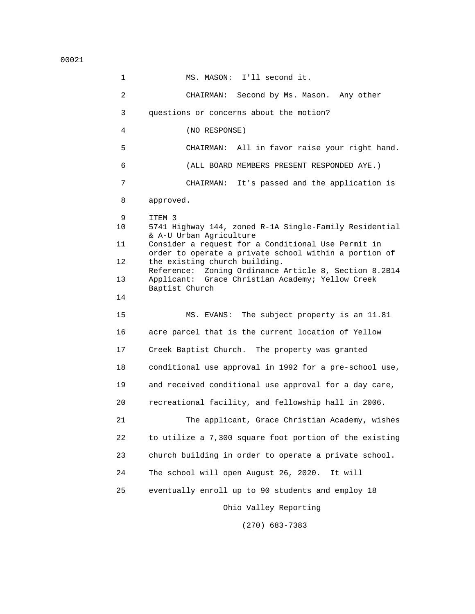00021

 1 MS. MASON: I'll second it. 2 CHAIRMAN: Second by Ms. Mason. Any other 3 questions or concerns about the motion? 4 (NO RESPONSE) 5 CHAIRMAN: All in favor raise your right hand. 6 (ALL BOARD MEMBERS PRESENT RESPONDED AYE.) 7 CHAIRMAN: It's passed and the application is 8 approved. 9 ITEM 3<br>10 5741 H 10 5741 Highway 144, zoned R-1A Single-Family Residential & A-U Urban Agriculture<br>11 Consider a request for Consider a request for a Conditional Use Permit in order to operate a private school within a portion of<br>12 the existing church building. the existing church building. Reference: Zoning Ordinance Article 8, Section 8.2B14<br>13 Applicant: Grace Christian Academy; Yellow Creek Applicant: Grace Christian Academy; Yellow Creek Baptist Church<br>14 14 15 MS. EVANS: The subject property is an 11.81 16 acre parcel that is the current location of Yellow 17 Creek Baptist Church. The property was granted 18 conditional use approval in 1992 for a pre-school use, 19 and received conditional use approval for a day care, 20 recreational facility, and fellowship hall in 2006. 21 The applicant, Grace Christian Academy, wishes 22 to utilize a 7,300 square foot portion of the existing 23 church building in order to operate a private school. 24 The school will open August 26, 2020. It will 25 eventually enroll up to 90 students and employ 18 Ohio Valley Reporting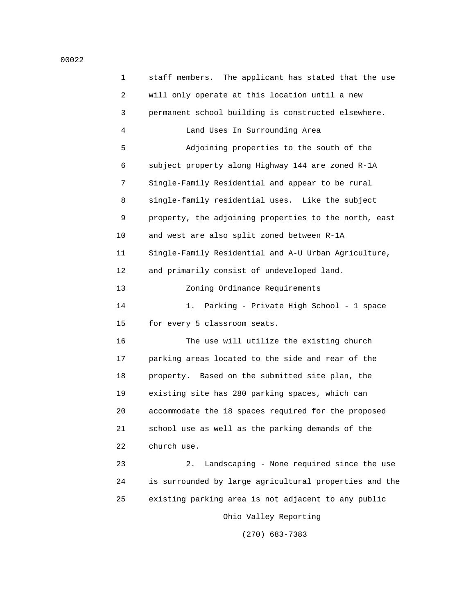1 staff members. The applicant has stated that the use 2 will only operate at this location until a new 3 permanent school building is constructed elsewhere. 4 Land Uses In Surrounding Area 5 Adjoining properties to the south of the 6 subject property along Highway 144 are zoned R-1A 7 Single-Family Residential and appear to be rural 8 single-family residential uses. Like the subject 9 property, the adjoining properties to the north, east 10 and west are also split zoned between R-1A 11 Single-Family Residential and A-U Urban Agriculture, 12 and primarily consist of undeveloped land. 13 Zoning Ordinance Requirements 14 1. Parking - Private High School - 1 space 15 for every 5 classroom seats. 16 The use will utilize the existing church 17 parking areas located to the side and rear of the 18 property. Based on the submitted site plan, the 19 existing site has 280 parking spaces, which can 20 accommodate the 18 spaces required for the proposed 21 school use as well as the parking demands of the 22 church use. 23 2. Landscaping - None required since the use 24 is surrounded by large agricultural properties and the 25 existing parking area is not adjacent to any public Ohio Valley Reporting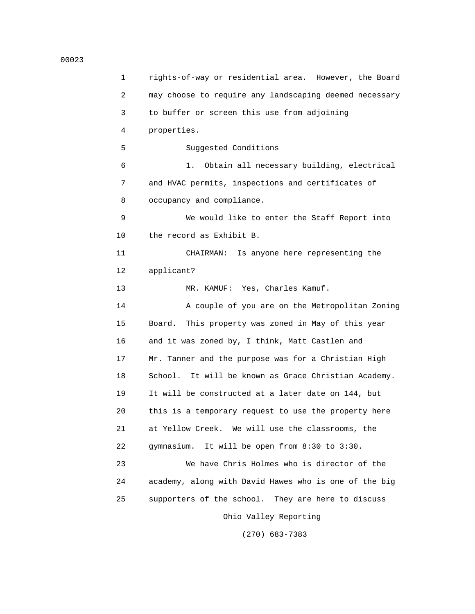#### 00023

 1 rights-of-way or residential area. However, the Board 2 may choose to require any landscaping deemed necessary 3 to buffer or screen this use from adjoining 4 properties. 5 Suggested Conditions 6 1. Obtain all necessary building, electrical 7 and HVAC permits, inspections and certificates of 8 occupancy and compliance. 9 We would like to enter the Staff Report into 10 the record as Exhibit B. 11 CHAIRMAN: Is anyone here representing the 12 applicant? 13 MR. KAMUF: Yes, Charles Kamuf. 14 A couple of you are on the Metropolitan Zoning 15 Board. This property was zoned in May of this year 16 and it was zoned by, I think, Matt Castlen and 17 Mr. Tanner and the purpose was for a Christian High 18 School. It will be known as Grace Christian Academy. 19 It will be constructed at a later date on 144, but 20 this is a temporary request to use the property here 21 at Yellow Creek. We will use the classrooms, the 22 gymnasium. It will be open from 8:30 to 3:30. 23 We have Chris Holmes who is director of the 24 academy, along with David Hawes who is one of the big 25 supporters of the school. They are here to discuss Ohio Valley Reporting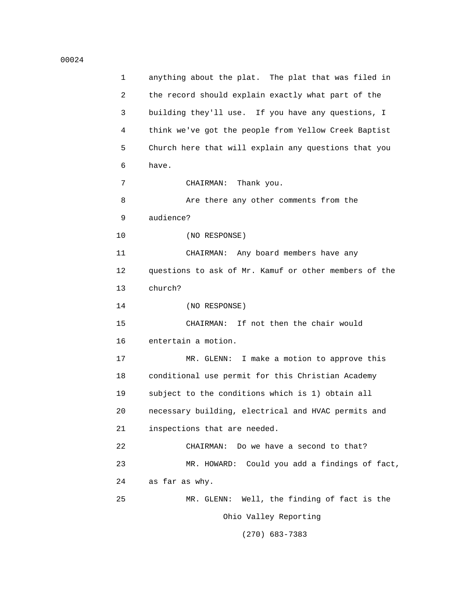| 1  | anything about the plat. The plat that was filed in   |
|----|-------------------------------------------------------|
| 2  | the record should explain exactly what part of the    |
| 3  | building they'll use. If you have any questions, I    |
| 4  | think we've got the people from Yellow Creek Baptist  |
| 5  | Church here that will explain any questions that you  |
| 6  | have.                                                 |
| 7  | Thank you.<br>CHAIRMAN:                               |
| 8  | Are there any other comments from the                 |
| 9  | audience?                                             |
| 10 | (NO RESPONSE)                                         |
| 11 | CHAIRMAN: Any board members have any                  |
| 12 | questions to ask of Mr. Kamuf or other members of the |
| 13 | church?                                               |
| 14 | (NO RESPONSE)                                         |
| 15 | If not then the chair would<br>CHAIRMAN:              |
| 16 | entertain a motion.                                   |
| 17 | MR. GLENN: I make a motion to approve this            |
| 18 | conditional use permit for this Christian Academy     |
| 19 | subject to the conditions which is 1) obtain all      |
| 20 | necessary building, electrical and HVAC permits and   |
| 21 | inspections that are needed.                          |
| 22 | Do we have a second to that?<br>CHAIRMAN:             |
| 23 | Could you add a findings of fact,<br>MR. HOWARD:      |
| 24 | as far as why.                                        |
| 25 | Well, the finding of fact is the<br>MR. GLENN:        |
|    | Ohio Valley Reporting                                 |
|    |                                                       |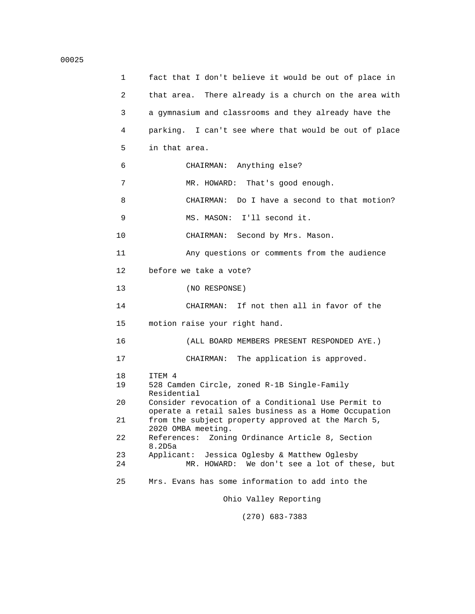```
 1 fact that I don't believe it would be out of place in
  2 that area. There already is a church on the area with
  3 a gymnasium and classrooms and they already have the
  4 parking. I can't see where that would be out of place
  5 in that area.
  6 CHAIRMAN: Anything else?
 7 MR. HOWARD: That's good enough.
  8 CHAIRMAN: Do I have a second to that motion?
  9 MS. MASON: I'll second it.
 10 CHAIRMAN: Second by Mrs. Mason.
 11 Any questions or comments from the audience
 12 before we take a vote?
 13 (NO RESPONSE)
 14 CHAIRMAN: If not then all in favor of the
 15 motion raise your right hand.
 16 (ALL BOARD MEMBERS PRESENT RESPONDED AYE.)
 17 CHAIRMAN: The application is approved.
18 ITEM 4<br>19 528 Car
       19 528 Camden Circle, zoned R-1B Single-Family
Residential<br>20 Consider res
       20 Consider revocation of a Conditional Use Permit to
       operate a retail sales business as a Home Occupation
 21 from the subject property approved at the March 5,
2020 OMBA meeting.<br>22 References: Zoning
      References: Zoning Ordinance Article 8, Section
8.2D5a<br>23 Applica
 23 Applicant: Jessica Oglesby & Matthew Oglesby
             MR. HOWARD: We don't see a lot of these, but
 25 Mrs. Evans has some information to add into the
                      Ohio Valley Reporting
```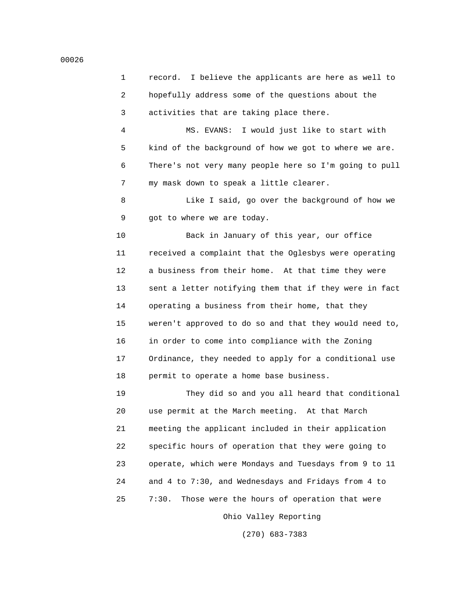1 record. I believe the applicants are here as well to 2 hopefully address some of the questions about the 3 activities that are taking place there.

 4 MS. EVANS: I would just like to start with 5 kind of the background of how we got to where we are. 6 There's not very many people here so I'm going to pull 7 my mask down to speak a little clearer.

8 **Like I** said, go over the background of how we 9 got to where we are today.

 10 Back in January of this year, our office 11 received a complaint that the Oglesbys were operating 12 a business from their home. At that time they were 13 sent a letter notifying them that if they were in fact 14 operating a business from their home, that they 15 weren't approved to do so and that they would need to, 16 in order to come into compliance with the Zoning 17 Ordinance, they needed to apply for a conditional use 18 permit to operate a home base business.

 19 They did so and you all heard that conditional 20 use permit at the March meeting. At that March 21 meeting the applicant included in their application 22 specific hours of operation that they were going to 23 operate, which were Mondays and Tuesdays from 9 to 11 24 and 4 to 7:30, and Wednesdays and Fridays from 4 to 25 7:30. Those were the hours of operation that were

Ohio Valley Reporting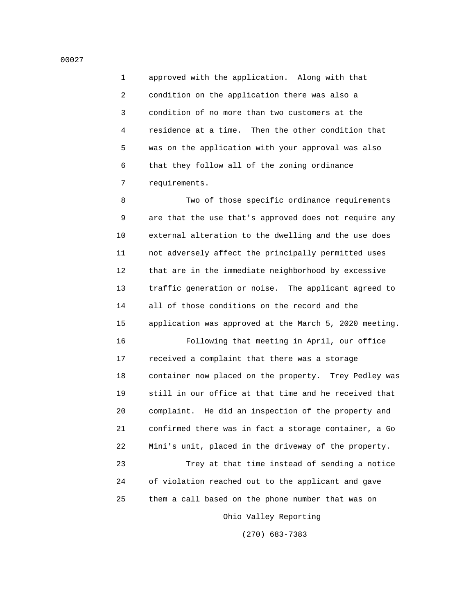1 approved with the application. Along with that 2 condition on the application there was also a 3 condition of no more than two customers at the 4 residence at a time. Then the other condition that 5 was on the application with your approval was also 6 that they follow all of the zoning ordinance 7 requirements.

 8 Two of those specific ordinance requirements 9 are that the use that's approved does not require any 10 external alteration to the dwelling and the use does 11 not adversely affect the principally permitted uses 12 that are in the immediate neighborhood by excessive 13 traffic generation or noise. The applicant agreed to 14 all of those conditions on the record and the 15 application was approved at the March 5, 2020 meeting.

 16 Following that meeting in April, our office 17 received a complaint that there was a storage 18 container now placed on the property. Trey Pedley was 19 still in our office at that time and he received that 20 complaint. He did an inspection of the property and 21 confirmed there was in fact a storage container, a Go 22 Mini's unit, placed in the driveway of the property.

 23 Trey at that time instead of sending a notice 24 of violation reached out to the applicant and gave 25 them a call based on the phone number that was on

Ohio Valley Reporting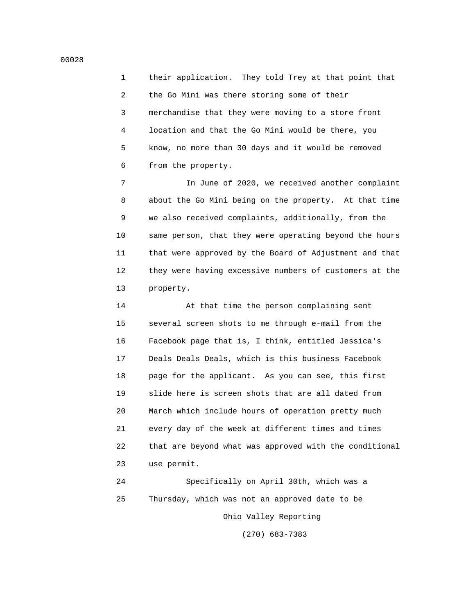1 their application. They told Trey at that point that 2 the Go Mini was there storing some of their 3 merchandise that they were moving to a store front 4 location and that the Go Mini would be there, you 5 know, no more than 30 days and it would be removed 6 from the property.

 7 In June of 2020, we received another complaint 8 about the Go Mini being on the property. At that time 9 we also received complaints, additionally, from the 10 same person, that they were operating beyond the hours 11 that were approved by the Board of Adjustment and that 12 they were having excessive numbers of customers at the 13 property.

 14 At that time the person complaining sent 15 several screen shots to me through e-mail from the 16 Facebook page that is, I think, entitled Jessica's 17 Deals Deals Deals, which is this business Facebook 18 page for the applicant. As you can see, this first 19 slide here is screen shots that are all dated from 20 March which include hours of operation pretty much 21 every day of the week at different times and times 22 that are beyond what was approved with the conditional 23 use permit.

 24 Specifically on April 30th, which was a 25 Thursday, which was not an approved date to be Ohio Valley Reporting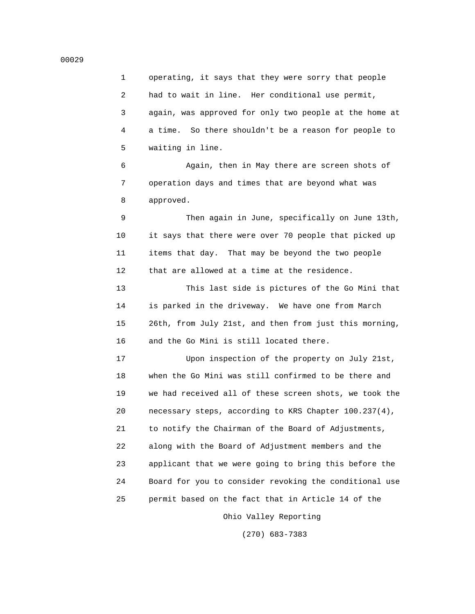1 operating, it says that they were sorry that people 2 had to wait in line. Her conditional use permit, 3 again, was approved for only two people at the home at 4 a time. So there shouldn't be a reason for people to 5 waiting in line.

 6 Again, then in May there are screen shots of 7 operation days and times that are beyond what was 8 approved.

 9 Then again in June, specifically on June 13th, 10 it says that there were over 70 people that picked up 11 items that day. That may be beyond the two people 12 that are allowed at a time at the residence.

 13 This last side is pictures of the Go Mini that 14 is parked in the driveway. We have one from March 15 26th, from July 21st, and then from just this morning, 16 and the Go Mini is still located there.

 17 Upon inspection of the property on July 21st, 18 when the Go Mini was still confirmed to be there and 19 we had received all of these screen shots, we took the 20 necessary steps, according to KRS Chapter 100.237(4), 21 to notify the Chairman of the Board of Adjustments, 22 along with the Board of Adjustment members and the 23 applicant that we were going to bring this before the 24 Board for you to consider revoking the conditional use 25 permit based on the fact that in Article 14 of the

Ohio Valley Reporting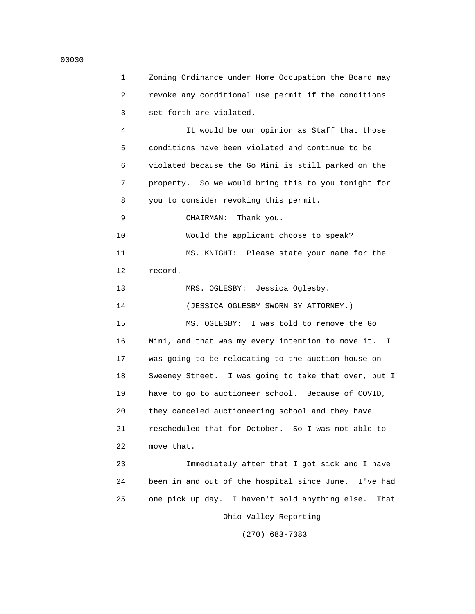1 Zoning Ordinance under Home Occupation the Board may 2 revoke any conditional use permit if the conditions 3 set forth are violated. 4 It would be our opinion as Staff that those 5 conditions have been violated and continue to be 6 violated because the Go Mini is still parked on the 7 property. So we would bring this to you tonight for 8 you to consider revoking this permit. 9 CHAIRMAN: Thank you. 10 Would the applicant choose to speak? 11 MS. KNIGHT: Please state your name for the 12 record. 13 MRS. OGLESBY: Jessica Oglesby. 14 (JESSICA OGLESBY SWORN BY ATTORNEY.) 15 MS. OGLESBY: I was told to remove the Go 16 Mini, and that was my every intention to move it. I 17 was going to be relocating to the auction house on 18 Sweeney Street. I was going to take that over, but I 19 have to go to auctioneer school. Because of COVID, 20 they canceled auctioneering school and they have 21 rescheduled that for October. So I was not able to 22 move that. 23 Immediately after that I got sick and I have 24 been in and out of the hospital since June. I've had 25 one pick up day. I haven't sold anything else. That Ohio Valley Reporting

(270) 683-7383

### 00030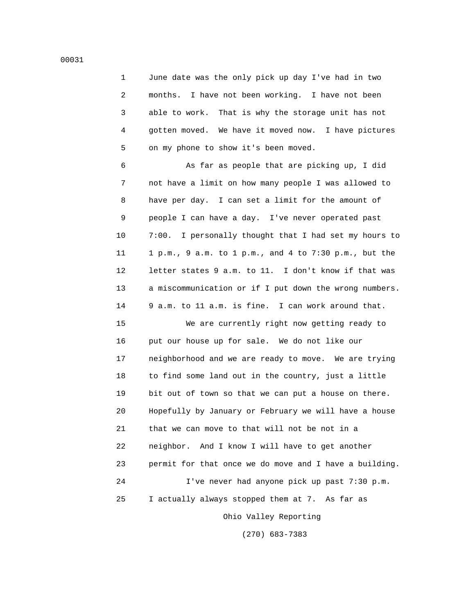1 June date was the only pick up day I've had in two 2 months. I have not been working. I have not been 3 able to work. That is why the storage unit has not 4 gotten moved. We have it moved now. I have pictures 5 on my phone to show it's been moved.

 6 As far as people that are picking up, I did 7 not have a limit on how many people I was allowed to 8 have per day. I can set a limit for the amount of 9 people I can have a day. I've never operated past 10 7:00. I personally thought that I had set my hours to 11 1 p.m., 9 a.m. to 1 p.m., and 4 to 7:30 p.m., but the 12 letter states 9 a.m. to 11. I don't know if that was 13 a miscommunication or if I put down the wrong numbers. 14 9 a.m. to 11 a.m. is fine. I can work around that.

 15 We are currently right now getting ready to 16 put our house up for sale. We do not like our 17 neighborhood and we are ready to move. We are trying 18 to find some land out in the country, just a little 19 bit out of town so that we can put a house on there. 20 Hopefully by January or February we will have a house 21 that we can move to that will not be not in a 22 neighbor. And I know I will have to get another 23 permit for that once we do move and I have a building. 24 I've never had anyone pick up past 7:30 p.m. 25 I actually always stopped them at 7. As far as

Ohio Valley Reporting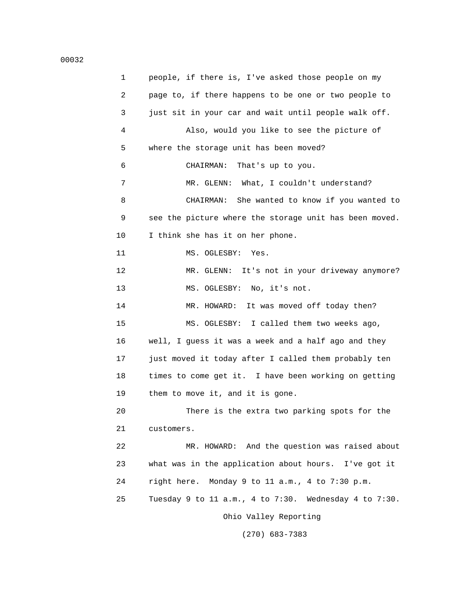1 people, if there is, I've asked those people on my 2 page to, if there happens to be one or two people to 3 just sit in your car and wait until people walk off. 4 Also, would you like to see the picture of 5 where the storage unit has been moved? 6 CHAIRMAN: That's up to you. 7 MR. GLENN: What, I couldn't understand? 8 CHAIRMAN: She wanted to know if you wanted to 9 see the picture where the storage unit has been moved. 10 I think she has it on her phone. 11 MS. OGLESBY: Yes. 12 MR. GLENN: It's not in your driveway anymore? 13 MS. OGLESBY: No, it's not. 14 MR. HOWARD: It was moved off today then? 15 MS. OGLESBY: I called them two weeks ago, 16 well, I guess it was a week and a half ago and they 17 just moved it today after I called them probably ten 18 times to come get it. I have been working on getting 19 them to move it, and it is gone. 20 There is the extra two parking spots for the 21 customers. 22 MR. HOWARD: And the question was raised about 23 what was in the application about hours. I've got it 24 right here. Monday 9 to 11 a.m., 4 to 7:30 p.m. 25 Tuesday 9 to 11 a.m., 4 to 7:30. Wednesday 4 to 7:30. Ohio Valley Reporting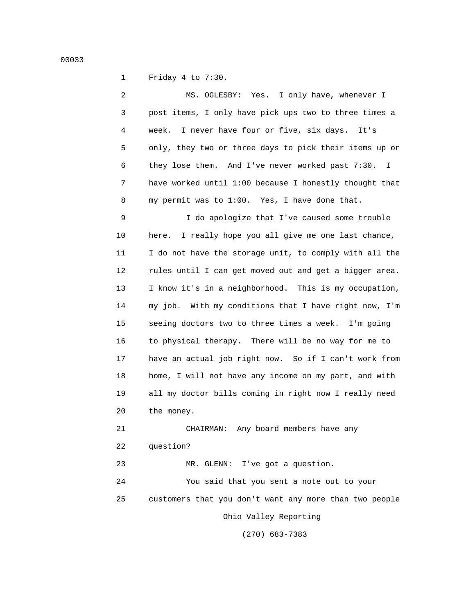1 Friday 4 to 7:30.

 2 MS. OGLESBY: Yes. I only have, whenever I 3 post items, I only have pick ups two to three times a 4 week. I never have four or five, six days. It's 5 only, they two or three days to pick their items up or 6 they lose them. And I've never worked past 7:30. I 7 have worked until 1:00 because I honestly thought that 8 my permit was to 1:00. Yes, I have done that.

 9 I do apologize that I've caused some trouble 10 here. I really hope you all give me one last chance, 11 I do not have the storage unit, to comply with all the 12 rules until I can get moved out and get a bigger area. 13 I know it's in a neighborhood. This is my occupation, 14 my job. With my conditions that I have right now, I'm 15 seeing doctors two to three times a week. I'm going 16 to physical therapy. There will be no way for me to 17 have an actual job right now. So if I can't work from 18 home, I will not have any income on my part, and with 19 all my doctor bills coming in right now I really need 20 the money.

 21 CHAIRMAN: Any board members have any 22 question?

23 MR. GLENN: I've got a question.

 24 You said that you sent a note out to your 25 customers that you don't want any more than two people

Ohio Valley Reporting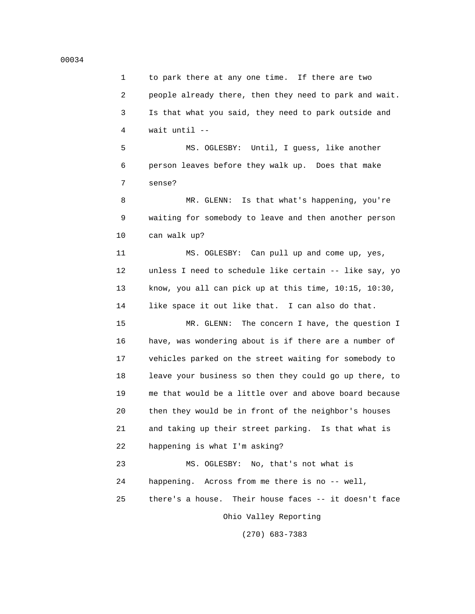## 1 to park there at any one time. If there are two 2 people already there, then they need to park and wait. 3 Is that what you said, they need to park outside and 4 wait until --

 5 MS. OGLESBY: Until, I guess, like another 6 person leaves before they walk up. Does that make 7 sense?

 8 MR. GLENN: Is that what's happening, you're 9 waiting for somebody to leave and then another person 10 can walk up?

 11 MS. OGLESBY: Can pull up and come up, yes, 12 unless I need to schedule like certain -- like say, yo 13 know, you all can pick up at this time, 10:15, 10:30, 14 like space it out like that. I can also do that.

 15 MR. GLENN: The concern I have, the question I 16 have, was wondering about is if there are a number of 17 vehicles parked on the street waiting for somebody to 18 leave your business so then they could go up there, to 19 me that would be a little over and above board because 20 then they would be in front of the neighbor's houses 21 and taking up their street parking. Is that what is 22 happening is what I'm asking?

 23 MS. OGLESBY: No, that's not what is 24 happening. Across from me there is no -- well, 25 there's a house. Their house faces -- it doesn't face Ohio Valley Reporting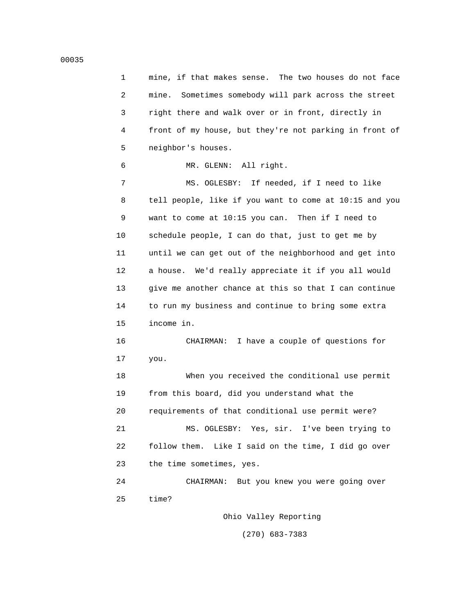1 mine, if that makes sense. The two houses do not face 2 mine. Sometimes somebody will park across the street 3 right there and walk over or in front, directly in 4 front of my house, but they're not parking in front of 5 neighbor's houses.

6 MR. GLENN: All right.

 7 MS. OGLESBY: If needed, if I need to like 8 tell people, like if you want to come at 10:15 and you 9 want to come at 10:15 you can. Then if I need to 10 schedule people, I can do that, just to get me by 11 until we can get out of the neighborhood and get into 12 a house. We'd really appreciate it if you all would 13 give me another chance at this so that I can continue 14 to run my business and continue to bring some extra 15 income in.

 16 CHAIRMAN: I have a couple of questions for 17 you.

 18 When you received the conditional use permit 19 from this board, did you understand what the 20 requirements of that conditional use permit were? 21 MS. OGLESBY: Yes, sir. I've been trying to 22 follow them. Like I said on the time, I did go over 23 the time sometimes, yes.

 24 CHAIRMAN: But you knew you were going over 25 time?

Ohio Valley Reporting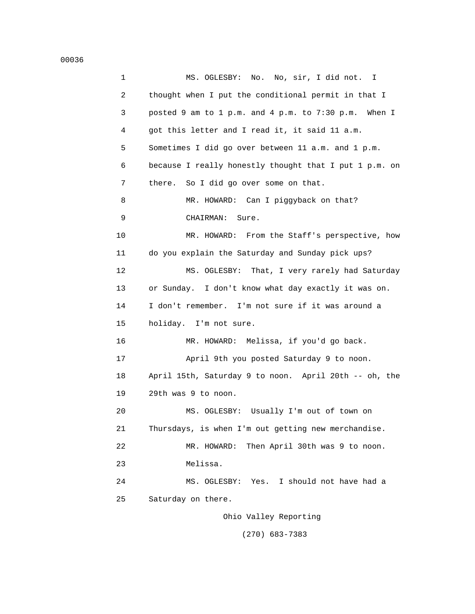| $\mathbf{1}$ | No. No, sir, I did not. I<br>MS. OGLESBY:              |
|--------------|--------------------------------------------------------|
| 2            | thought when I put the conditional permit in that I    |
| 3            | posted 9 am to 1 p.m. and 4 p.m. to 7:30 p.m. When I   |
| 4            | got this letter and I read it, it said 11 a.m.         |
| 5            | Sometimes I did go over between 11 a.m. and 1 p.m.     |
| 6            | because I really honestly thought that I put 1 p.m. on |
| 7            | there.<br>So I did go over some on that.               |
| 8            | MR. HOWARD: Can I piggyback on that?                   |
| 9            | CHAIRMAN:<br>Sure.                                     |
| 10           | MR. HOWARD: From the Staff's perspective, how          |
| 11           | do you explain the Saturday and Sunday pick ups?       |
| 12           | MS. OGLESBY:<br>That, I very rarely had Saturday       |
| 13           | or Sunday. I don't know what day exactly it was on.    |
| 14           | I don't remember. I'm not sure if it was around a      |
| 15           | holiday. I'm not sure.                                 |
| 16           | MR. HOWARD: Melissa, if you'd go back.                 |
| 17           | April 9th you posted Saturday 9 to noon.               |
| 18           | April 15th, Saturday 9 to noon. April 20th -- oh, the  |
| 19           | 29th was 9 to noon.                                    |
| 20           | MS. OGLESBY: Usually I'm out of town on                |
| 21           | Thursdays, is when I'm out getting new merchandise.    |
| 22           | Then April 30th was 9 to noon.<br>MR. HOWARD:          |
| 23           | Melissa.                                               |
| 24           | Yes. I should not have had a<br>MS. OGLESBY:           |
| 25           | Saturday on there.                                     |
|              | Ohio Valley Reporting                                  |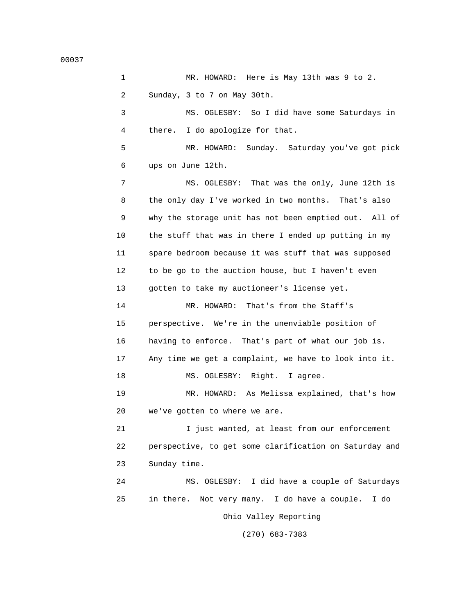00037

 1 MR. HOWARD: Here is May 13th was 9 to 2. 2 Sunday, 3 to 7 on May 30th. 3 MS. OGLESBY: So I did have some Saturdays in 4 there. I do apologize for that. 5 MR. HOWARD: Sunday. Saturday you've got pick 6 ups on June 12th. 7 MS. OGLESBY: That was the only, June 12th is 8 the only day I've worked in two months. That's also 9 why the storage unit has not been emptied out. All of 10 the stuff that was in there I ended up putting in my 11 spare bedroom because it was stuff that was supposed 12 to be go to the auction house, but I haven't even 13 gotten to take my auctioneer's license yet. 14 MR. HOWARD: That's from the Staff's 15 perspective. We're in the unenviable position of 16 having to enforce. That's part of what our job is. 17 Any time we get a complaint, we have to look into it. 18 MS. OGLESBY: Right. I agree. 19 MR. HOWARD: As Melissa explained, that's how 20 we've gotten to where we are. 21 I just wanted, at least from our enforcement 22 perspective, to get some clarification on Saturday and 23 Sunday time. 24 MS. OGLESBY: I did have a couple of Saturdays 25 in there. Not very many. I do have a couple. I do Ohio Valley Reporting (270) 683-7383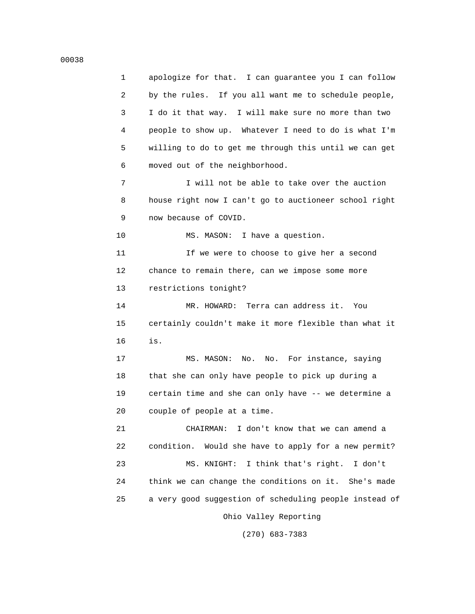1 apologize for that. I can guarantee you I can follow 2 by the rules. If you all want me to schedule people, 3 I do it that way. I will make sure no more than two 4 people to show up. Whatever I need to do is what I'm 5 willing to do to get me through this until we can get

7 I will not be able to take over the auction 8 house right now I can't go to auctioneer school right 9 now because of COVID.

10 MS. MASON: I have a question.

6 moved out of the neighborhood.

 11 If we were to choose to give her a second 12 chance to remain there, can we impose some more 13 restrictions tonight?

 14 MR. HOWARD: Terra can address it. You 15 certainly couldn't make it more flexible than what it 16 is.

> 17 MS. MASON: No. No. For instance, saying 18 that she can only have people to pick up during a 19 certain time and she can only have -- we determine a 20 couple of people at a time.

 21 CHAIRMAN: I don't know that we can amend a 22 condition. Would she have to apply for a new permit? 23 MS. KNIGHT: I think that's right. I don't 24 think we can change the conditions on it. She's made 25 a very good suggestion of scheduling people instead of

Ohio Valley Reporting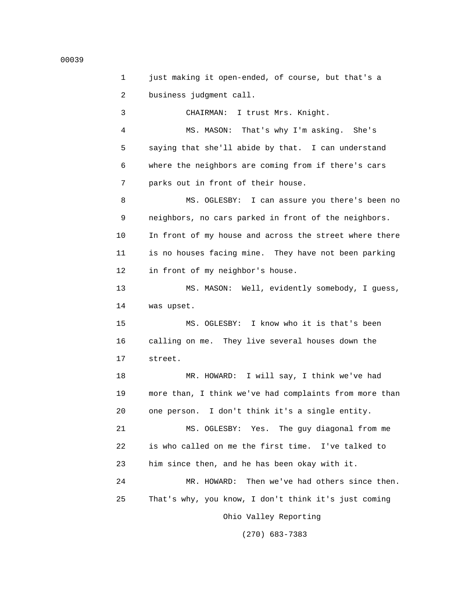1 just making it open-ended, of course, but that's a 2 business judgment call. 3 CHAIRMAN: I trust Mrs. Knight. 4 MS. MASON: That's why I'm asking. She's 5 saying that she'll abide by that. I can understand 6 where the neighbors are coming from if there's cars 7 parks out in front of their house. 8 MS. OGLESBY: I can assure you there's been no 9 neighbors, no cars parked in front of the neighbors. 10 In front of my house and across the street where there 11 is no houses facing mine. They have not been parking 12 in front of my neighbor's house. 13 MS. MASON: Well, evidently somebody, I guess, 14 was upset. 15 MS. OGLESBY: I know who it is that's been 16 calling on me. They live several houses down the 17 street. 18 MR. HOWARD: I will say, I think we've had 19 more than, I think we've had complaints from more than 20 one person. I don't think it's a single entity. 21 MS. OGLESBY: Yes. The guy diagonal from me 22 is who called on me the first time. I've talked to 23 him since then, and he has been okay with it. 24 MR. HOWARD: Then we've had others since then. 25 That's why, you know, I don't think it's just coming Ohio Valley Reporting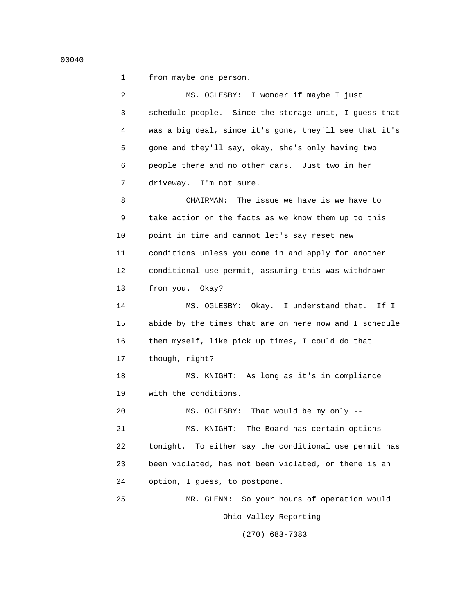00040

1 from maybe one person.

 2 MS. OGLESBY: I wonder if maybe I just 3 schedule people. Since the storage unit, I guess that 4 was a big deal, since it's gone, they'll see that it's 5 gone and they'll say, okay, she's only having two 6 people there and no other cars. Just two in her 7 driveway. I'm not sure. 8 CHAIRMAN: The issue we have is we have to 9 take action on the facts as we know them up to this 10 point in time and cannot let's say reset new 11 conditions unless you come in and apply for another 12 conditional use permit, assuming this was withdrawn 13 from you. Okay? 14 MS. OGLESBY: Okay. I understand that. If I 15 abide by the times that are on here now and I schedule 16 them myself, like pick up times, I could do that 17 though, right? 18 MS. KNIGHT: As long as it's in compliance 19 with the conditions. 20 MS. OGLESBY: That would be my only -- 21 MS. KNIGHT: The Board has certain options 22 tonight. To either say the conditional use permit has 23 been violated, has not been violated, or there is an 24 option, I guess, to postpone. 25 MR. GLENN: So your hours of operation would Ohio Valley Reporting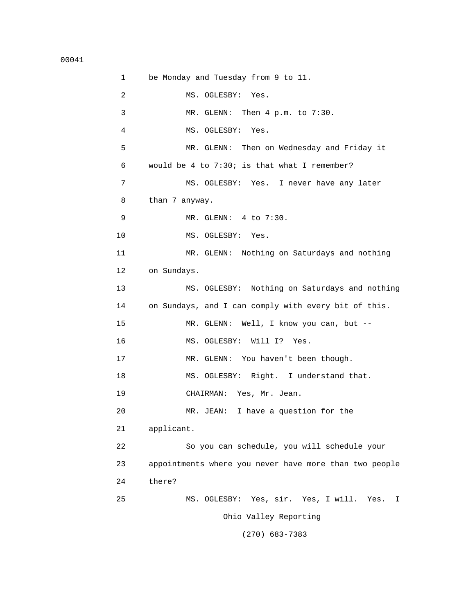1 be Monday and Tuesday from 9 to 11. 2 MS. OGLESBY: Yes. 3 MR. GLENN: Then 4 p.m. to 7:30. 4 MS. OGLESBY: Yes. 5 MR. GLENN: Then on Wednesday and Friday it 6 would be 4 to 7:30; is that what I remember? 7 MS. OGLESBY: Yes. I never have any later 8 than 7 anyway. 9 MR. GLENN: 4 to 7:30. 10 MS. OGLESBY: Yes. 11 MR. GLENN: Nothing on Saturdays and nothing 12 on Sundays. 13 MS. OGLESBY: Nothing on Saturdays and nothing 14 on Sundays, and I can comply with every bit of this. 15 MR. GLENN: Well, I know you can, but -- 16 MS. OGLESBY: Will I? Yes. 17 MR. GLENN: You haven't been though. 18 MS. OGLESBY: Right. I understand that. 19 CHAIRMAN: Yes, Mr. Jean. 20 MR. JEAN: I have a question for the 21 applicant. 22 So you can schedule, you will schedule your 23 appointments where you never have more than two people 24 there? 25 MS. OGLESBY: Yes, sir. Yes, I will. Yes. I Ohio Valley Reporting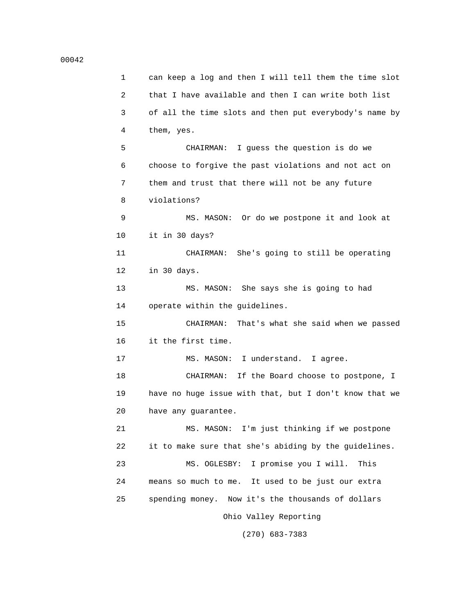1 can keep a log and then I will tell them the time slot 2 that I have available and then I can write both list 3 of all the time slots and then put everybody's name by 4 them, yes. 5 CHAIRMAN: I guess the question is do we 6 choose to forgive the past violations and not act on 7 them and trust that there will not be any future 8 violations? 9 MS. MASON: Or do we postpone it and look at 10 it in 30 days? 11 CHAIRMAN: She's going to still be operating 12 in 30 days. 13 MS. MASON: She says she is going to had 14 operate within the guidelines. 15 CHAIRMAN: That's what she said when we passed 16 it the first time. 17 MS. MASON: I understand. I agree. 18 CHAIRMAN: If the Board choose to postpone, I 19 have no huge issue with that, but I don't know that we 20 have any guarantee. 21 MS. MASON: I'm just thinking if we postpone 22 it to make sure that she's abiding by the guidelines. 23 MS. OGLESBY: I promise you I will. This 24 means so much to me. It used to be just our extra 25 spending money. Now it's the thousands of dollars Ohio Valley Reporting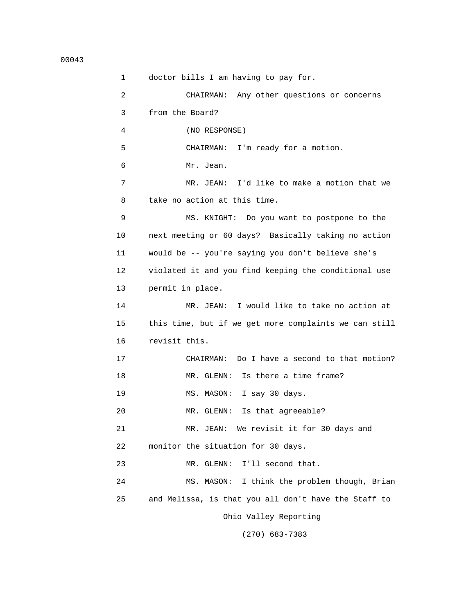```
00043
```
 1 doctor bills I am having to pay for. 2 CHAIRMAN: Any other questions or concerns 3 from the Board? 4 (NO RESPONSE) 5 CHAIRMAN: I'm ready for a motion. 6 Mr. Jean. 7 MR. JEAN: I'd like to make a motion that we 8 take no action at this time. 9 MS. KNIGHT: Do you want to postpone to the 10 next meeting or 60 days? Basically taking no action 11 would be -- you're saying you don't believe she's 12 violated it and you find keeping the conditional use 13 permit in place. 14 MR. JEAN: I would like to take no action at 15 this time, but if we get more complaints we can still 16 revisit this. 17 CHAIRMAN: Do I have a second to that motion? 18 MR. GLENN: Is there a time frame? 19 MS. MASON: I say 30 days. 20 MR. GLENN: Is that agreeable? 21 MR. JEAN: We revisit it for 30 days and 22 monitor the situation for 30 days. 23 MR. GLENN: I'll second that. 24 MS. MASON: I think the problem though, Brian 25 and Melissa, is that you all don't have the Staff to Ohio Valley Reporting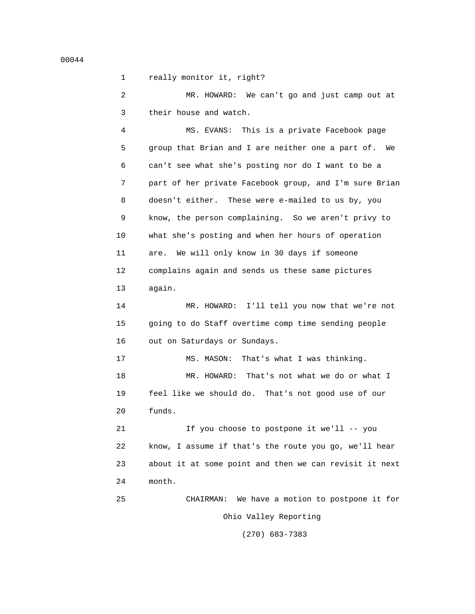1 really monitor it, right?

 2 MR. HOWARD: We can't go and just camp out at 3 their house and watch.

 4 MS. EVANS: This is a private Facebook page 5 group that Brian and I are neither one a part of. We 6 can't see what she's posting nor do I want to be a 7 part of her private Facebook group, and I'm sure Brian 8 doesn't either. These were e-mailed to us by, you 9 know, the person complaining. So we aren't privy to 10 what she's posting and when her hours of operation 11 are. We will only know in 30 days if someone 12 complains again and sends us these same pictures 13 again.

 14 MR. HOWARD: I'll tell you now that we're not 15 going to do Staff overtime comp time sending people 16 out on Saturdays or Sundays.

 17 MS. MASON: That's what I was thinking. 18 MR. HOWARD: That's not what we do or what I 19 feel like we should do. That's not good use of our 20 funds.

 21 If you choose to postpone it we'll -- you 22 know, I assume if that's the route you go, we'll hear 23 about it at some point and then we can revisit it next 24 month.

 25 CHAIRMAN: We have a motion to postpone it for Ohio Valley Reporting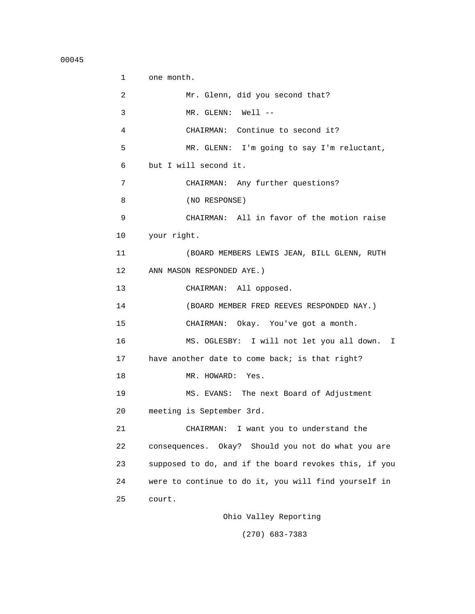```
 1 one month.
 2 Mr. Glenn, did you second that?
 3 MR. GLENN: Well --
 4 CHAIRMAN: Continue to second it?
 5 MR. GLENN: I'm going to say I'm reluctant,
 6 but I will second it.
 7 CHAIRMAN: Any further questions?
 8 (NO RESPONSE)
 9 CHAIRMAN: All in favor of the motion raise
 10 your right.
 11 (BOARD MEMBERS LEWIS JEAN, BILL GLENN, RUTH
 12 ANN MASON RESPONDED AYE.)
 13 CHAIRMAN: All opposed.
 14 (BOARD MEMBER FRED REEVES RESPONDED NAY.)
 15 CHAIRMAN: Okay. You've got a month.
 16 MS. OGLESBY: I will not let you all down. I
 17 have another date to come back; is that right?
18 MR. HOWARD: Yes.
 19 MS. EVANS: The next Board of Adjustment
 20 meeting is September 3rd.
 21 CHAIRMAN: I want you to understand the
 22 consequences. Okay? Should you not do what you are
 23 supposed to do, and if the board revokes this, if you
 24 were to continue to do it, you will find yourself in
 25 court.
```
Ohio Valley Reporting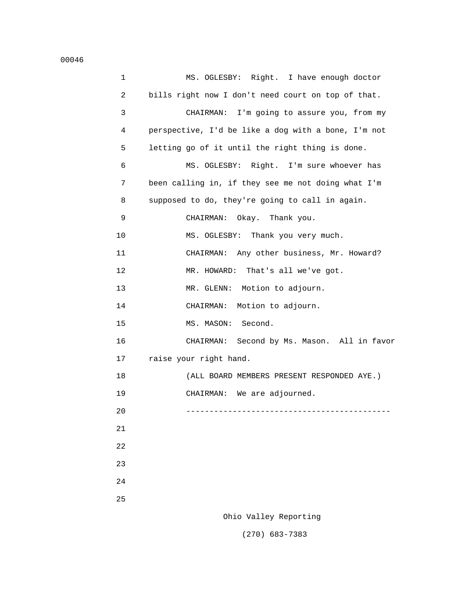| 1  | MS. OGLESBY: Right. I have enough doctor            |
|----|-----------------------------------------------------|
| 2  | bills right now I don't need court on top of that.  |
| 3  | CHAIRMAN: I'm going to assure you, from my          |
| 4  | perspective, I'd be like a dog with a bone, I'm not |
| 5  | letting go of it until the right thing is done.     |
| 6  | MS. OGLESBY: Right. I'm sure whoever has            |
| 7  | been calling in, if they see me not doing what I'm  |
| 8  | supposed to do, they're going to call in again.     |
| 9  | CHAIRMAN:<br>Okay.   Thank you.                     |
| 10 | MS. OGLESBY: Thank you very much.                   |
| 11 | CHAIRMAN: Any other business, Mr. Howard?           |
| 12 | MR. HOWARD: That's all we've got.                   |
| 13 | MR. GLENN: Motion to adjourn.                       |
| 14 | Motion to adjourn.<br>CHAIRMAN:                     |
| 15 | MS. MASON:<br>Second.                               |
| 16 | Second by Ms. Mason. All in favor<br>CHAIRMAN:      |
| 17 | raise your right hand.                              |
| 18 | (ALL BOARD MEMBERS PRESENT RESPONDED AYE.)          |
| 19 | CHAIRMAN: We are adjourned.                         |
| 20 |                                                     |
| 21 |                                                     |
| 22 |                                                     |
| 23 |                                                     |
| 24 |                                                     |
| 25 |                                                     |
|    | Ohio Valley Reporting                               |